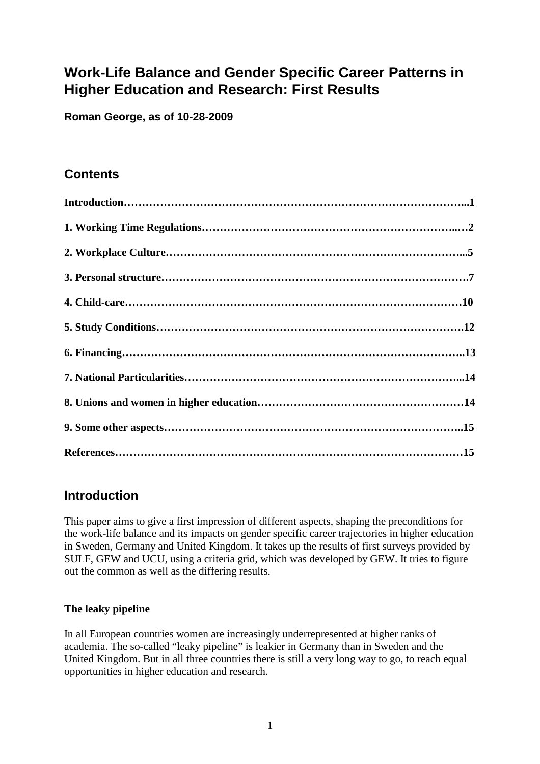# **Work-Life Balance and Gender Specific Career Patterns in Higher Education and Research: First Results**

**Roman George, as of 10-28-2009** 

# **Contents**

| $\label{eq:1} \textbf{Introduction}.\textcolor{red}{\textbf{1}\textbf{1}\textbf{1}}$ |  |
|--------------------------------------------------------------------------------------|--|
|                                                                                      |  |
|                                                                                      |  |
|                                                                                      |  |
|                                                                                      |  |
|                                                                                      |  |
|                                                                                      |  |
|                                                                                      |  |
|                                                                                      |  |
|                                                                                      |  |
|                                                                                      |  |

# **Introduction**

This paper aims to give a first impression of different aspects, shaping the preconditions for the work-life balance and its impacts on gender specific career trajectories in higher education in Sweden, Germany and United Kingdom. It takes up the results of first surveys provided by SULF, GEW and UCU, using a criteria grid, which was developed by GEW. It tries to figure out the common as well as the differing results.

#### **The leaky pipeline**

In all European countries women are increasingly underrepresented at higher ranks of academia. The so-called "leaky pipeline" is leakier in Germany than in Sweden and the United Kingdom. But in all three countries there is still a very long way to go, to reach equal opportunities in higher education and research.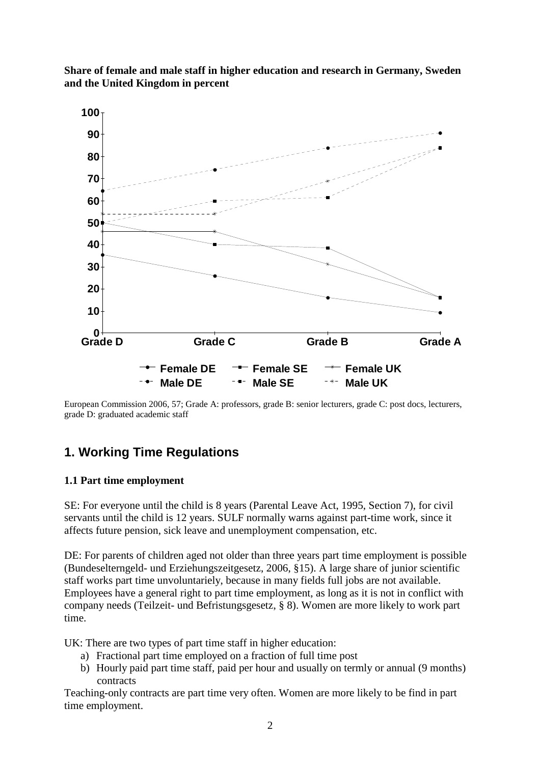

**Share of female and male staff in higher education and research in Germany, Sweden and the United Kingdom in percent** 

European Commission 2006, 57; Grade A: professors, grade B: senior lecturers, grade C: post docs, lecturers, grade D: graduated academic staff

# **1. Working Time Regulations**

## **1.1 Part time employment**

SE: For everyone until the child is 8 years (Parental Leave Act, 1995, Section 7), for civil servants until the child is 12 years. SULF normally warns against part-time work, since it affects future pension, sick leave and unemployment compensation, etc.

DE: For parents of children aged not older than three years part time employment is possible (Bundeselterngeld- und Erziehungszeitgesetz, 2006, §15). A large share of junior scientific staff works part time unvoluntariely, because in many fields full jobs are not available. Employees have a general right to part time employment, as long as it is not in conflict with company needs (Teilzeit- und Befristungsgesetz, § 8). Women are more likely to work part time.

UK: There are two types of part time staff in higher education:

- a) Fractional part time employed on a fraction of full time post
- b) Hourly paid part time staff, paid per hour and usually on termly or annual (9 months) contracts

Teaching-only contracts are part time very often. Women are more likely to be find in part time employment.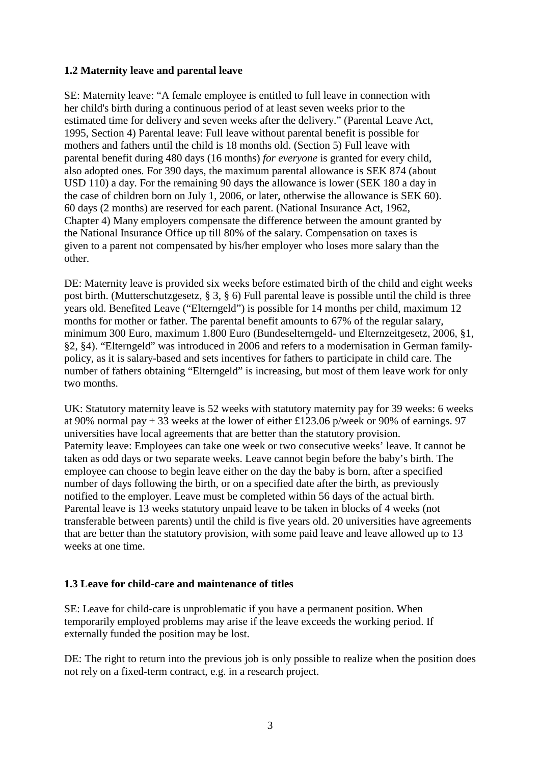#### **1.2 Maternity leave and parental leave**

SE: Maternity leave: "A female employee is entitled to full leave in connection with her child's birth during a continuous period of at least seven weeks prior to the estimated time for delivery and seven weeks after the delivery." (Parental Leave Act, 1995, Section 4) Parental leave: Full leave without parental benefit is possible for mothers and fathers until the child is 18 months old. (Section 5) Full leave with parental benefit during 480 days (16 months) *for everyone* is granted for every child, also adopted ones*.* For 390 days, the maximum parental allowance is SEK 874 (about USD 110) a day. For the remaining 90 days the allowance is lower (SEK 180 a day in the case of children born on July 1, 2006, or later, otherwise the allowance is SEK 60). 60 days (2 months) are reserved for each parent. (National Insurance Act, 1962, Chapter 4) Many employers compensate the difference between the amount granted by the National Insurance Office up till 80% of the salary. Compensation on taxes is given to a parent not compensated by his/her employer who loses more salary than the other.

DE: Maternity leave is provided six weeks before estimated birth of the child and eight weeks post birth. (Mutterschutzgesetz, § 3, § 6) Full parental leave is possible until the child is three years old. Benefited Leave ("Elterngeld") is possible for 14 months per child, maximum 12 months for mother or father. The parental benefit amounts to 67% of the regular salary, minimum 300 Euro, maximum 1.800 Euro (Bundeselterngeld- und Elternzeitgesetz, 2006, §1, §2, §4). "Elterngeld" was introduced in 2006 and refers to a modernisation in German familypolicy, as it is salary-based and sets incentives for fathers to participate in child care. The number of fathers obtaining "Elterngeld" is increasing, but most of them leave work for only two months.

UK: Statutory maternity leave is 52 weeks with statutory maternity pay for 39 weeks: 6 weeks at 90% normal pay + 33 weeks at the lower of either £123.06 p/week or 90% of earnings. 97 universities have local agreements that are better than the statutory provision. Paternity leave: Employees can take one week or two consecutive weeks' leave. It cannot be taken as odd days or two separate weeks. Leave cannot begin before the baby's birth. The employee can choose to begin leave either on the day the baby is born, after a specified number of days following the birth, or on a specified date after the birth, as previously notified to the employer. Leave must be completed within 56 days of the actual birth. Parental leave is 13 weeks statutory unpaid leave to be taken in blocks of 4 weeks (not transferable between parents) until the child is five years old. 20 universities have agreements that are better than the statutory provision, with some paid leave and leave allowed up to 13 weeks at one time.

#### **1.3 Leave for child-care and maintenance of titles**

SE: Leave for child-care is unproblematic if you have a permanent position. When temporarily employed problems may arise if the leave exceeds the working period. If externally funded the position may be lost.

DE: The right to return into the previous job is only possible to realize when the position does not rely on a fixed-term contract, e.g. in a research project.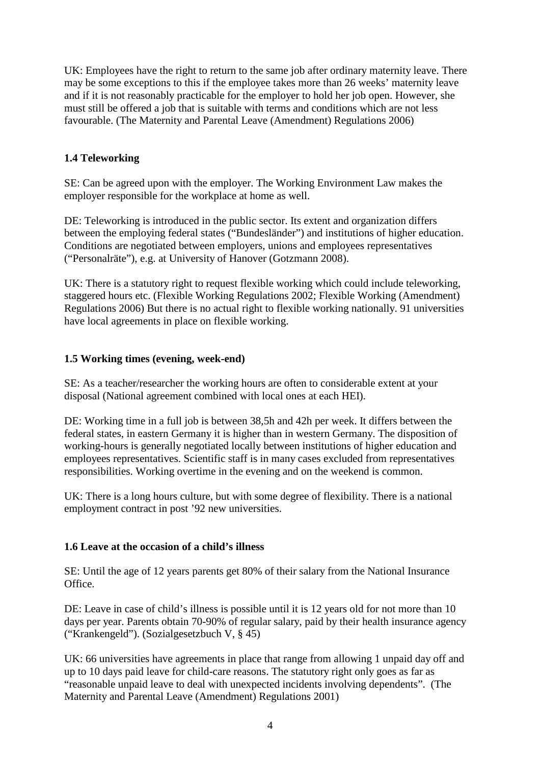UK: Employees have the right to return to the same job after ordinary maternity leave. There may be some exceptions to this if the employee takes more than 26 weeks' maternity leave and if it is not reasonably practicable for the employer to hold her job open. However, she must still be offered a job that is suitable with terms and conditions which are not less favourable. (The Maternity and Parental Leave (Amendment) Regulations 2006)

#### **1.4 Teleworking**

SE: Can be agreed upon with the employer. The Working Environment Law makes the employer responsible for the workplace at home as well.

DE: Teleworking is introduced in the public sector. Its extent and organization differs between the employing federal states ("Bundesländer") and institutions of higher education. Conditions are negotiated between employers, unions and employees representatives ("Personalräte"), e.g. at University of Hanover (Gotzmann 2008).

UK: There is a statutory right to request flexible working which could include teleworking, staggered hours etc. (Flexible Working Regulations 2002; Flexible Working (Amendment) Regulations 2006) But there is no actual right to flexible working nationally. 91 universities have local agreements in place on flexible working.

#### **1.5 Working times (evening, week-end)**

SE: As a teacher/researcher the working hours are often to considerable extent at your disposal (National agreement combined with local ones at each HEI).

DE: Working time in a full job is between 38,5h and 42h per week. It differs between the federal states, in eastern Germany it is higher than in western Germany. The disposition of working-hours is generally negotiated locally between institutions of higher education and employees representatives. Scientific staff is in many cases excluded from representatives responsibilities. Working overtime in the evening and on the weekend is common.

UK: There is a long hours culture, but with some degree of flexibility. There is a national employment contract in post '92 new universities.

#### **1.6 Leave at the occasion of a child's illness**

SE: Until the age of 12 years parents get 80% of their salary from the National Insurance **Office** 

DE: Leave in case of child's illness is possible until it is 12 years old for not more than 10 days per year. Parents obtain 70-90% of regular salary, paid by their health insurance agency ("Krankengeld"). (Sozialgesetzbuch V, § 45)

UK: 66 universities have agreements in place that range from allowing 1 unpaid day off and up to 10 days paid leave for child-care reasons. The statutory right only goes as far as "reasonable unpaid leave to deal with unexpected incidents involving dependents". (The Maternity and Parental Leave (Amendment) Regulations 2001)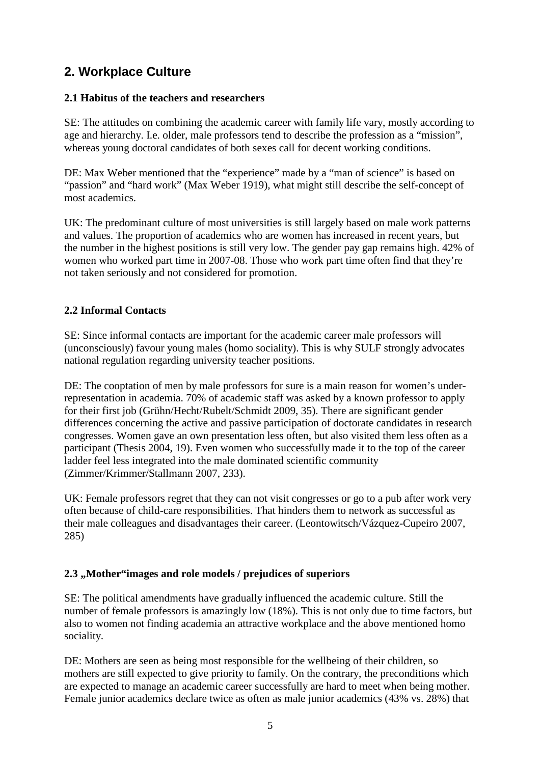# **2. Workplace Culture**

#### **2.1 Habitus of the teachers and researchers**

SE: The attitudes on combining the academic career with family life vary, mostly according to age and hierarchy. I.e. older, male professors tend to describe the profession as a "mission", whereas young doctoral candidates of both sexes call for decent working conditions.

DE: Max Weber mentioned that the "experience" made by a "man of science" is based on "passion" and "hard work" (Max Weber 1919), what might still describe the self-concept of most academics.

UK: The predominant culture of most universities is still largely based on male work patterns and values. The proportion of academics who are women has increased in recent years, but the number in the highest positions is still very low. The gender pay gap remains high. 42% of women who worked part time in 2007-08. Those who work part time often find that they're not taken seriously and not considered for promotion.

#### **2.2 Informal Contacts**

SE: Since informal contacts are important for the academic career male professors will (unconsciously) favour young males (homo sociality). This is why SULF strongly advocates national regulation regarding university teacher positions.

DE: The cooptation of men by male professors for sure is a main reason for women's underrepresentation in academia. 70% of academic staff was asked by a known professor to apply for their first job (Grühn/Hecht/Rubelt/Schmidt 2009, 35). There are significant gender differences concerning the active and passive participation of doctorate candidates in research congresses. Women gave an own presentation less often, but also visited them less often as a participant (Thesis 2004, 19). Even women who successfully made it to the top of the career ladder feel less integrated into the male dominated scientific community (Zimmer/Krimmer/Stallmann 2007, 233).

UK: Female professors regret that they can not visit congresses or go to a pub after work very often because of child-care responsibilities. That hinders them to network as successful as their male colleagues and disadvantages their career. (Leontowitsch/Vázquez-Cupeiro 2007, 285)

#### **2.3 "Mother"images and role models / prejudices of superiors**

SE: The political amendments have gradually influenced the academic culture. Still the number of female professors is amazingly low (18%). This is not only due to time factors, but also to women not finding academia an attractive workplace and the above mentioned homo sociality.

DE: Mothers are seen as being most responsible for the wellbeing of their children, so mothers are still expected to give priority to family. On the contrary, the preconditions which are expected to manage an academic career successfully are hard to meet when being mother. Female junior academics declare twice as often as male junior academics (43% vs. 28%) that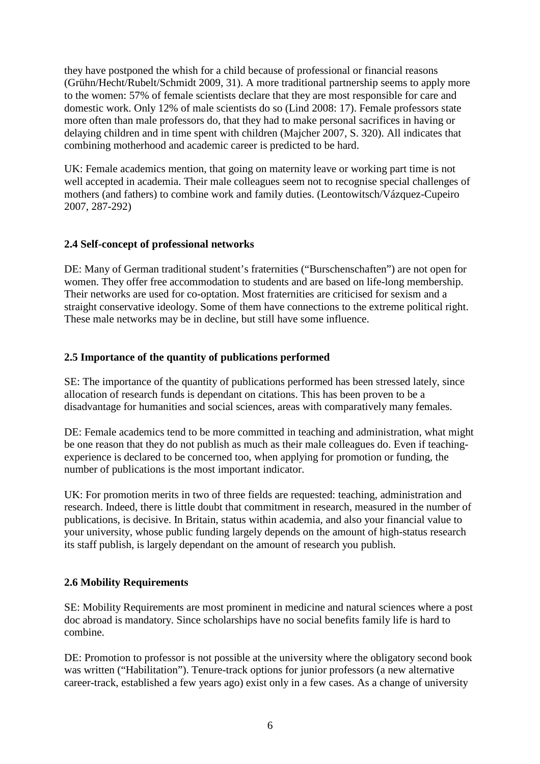they have postponed the whish for a child because of professional or financial reasons (Grühn/Hecht/Rubelt/Schmidt 2009, 31). A more traditional partnership seems to apply more to the women: 57% of female scientists declare that they are most responsible for care and domestic work. Only 12% of male scientists do so (Lind 2008: 17). Female professors state more often than male professors do, that they had to make personal sacrifices in having or delaying children and in time spent with children (Majcher 2007, S. 320). All indicates that combining motherhood and academic career is predicted to be hard.

UK: Female academics mention, that going on maternity leave or working part time is not well accepted in academia. Their male colleagues seem not to recognise special challenges of mothers (and fathers) to combine work and family duties. (Leontowitsch/Vázquez-Cupeiro 2007, 287-292)

#### **2.4 Self-concept of professional networks**

DE: Many of German traditional student's fraternities ("Burschenschaften") are not open for women. They offer free accommodation to students and are based on life-long membership. Their networks are used for co-optation. Most fraternities are criticised for sexism and a straight conservative ideology. Some of them have connections to the extreme political right. These male networks may be in decline, but still have some influence.

#### **2.5 Importance of the quantity of publications performed**

SE: The importance of the quantity of publications performed has been stressed lately, since allocation of research funds is dependant on citations. This has been proven to be a disadvantage for humanities and social sciences, areas with comparatively many females.

DE: Female academics tend to be more committed in teaching and administration, what might be one reason that they do not publish as much as their male colleagues do. Even if teachingexperience is declared to be concerned too, when applying for promotion or funding, the number of publications is the most important indicator.

UK: For promotion merits in two of three fields are requested: teaching, administration and research. Indeed, there is little doubt that commitment in research, measured in the number of publications, is decisive. In Britain, status within academia, and also your financial value to your university, whose public funding largely depends on the amount of high-status research its staff publish, is largely dependant on the amount of research you publish.

#### **2.6 Mobility Requirements**

SE: Mobility Requirements are most prominent in medicine and natural sciences where a post doc abroad is mandatory. Since scholarships have no social benefits family life is hard to combine.

DE: Promotion to professor is not possible at the university where the obligatory second book was written ("Habilitation"). Tenure-track options for junior professors (a new alternative career-track, established a few years ago) exist only in a few cases. As a change of university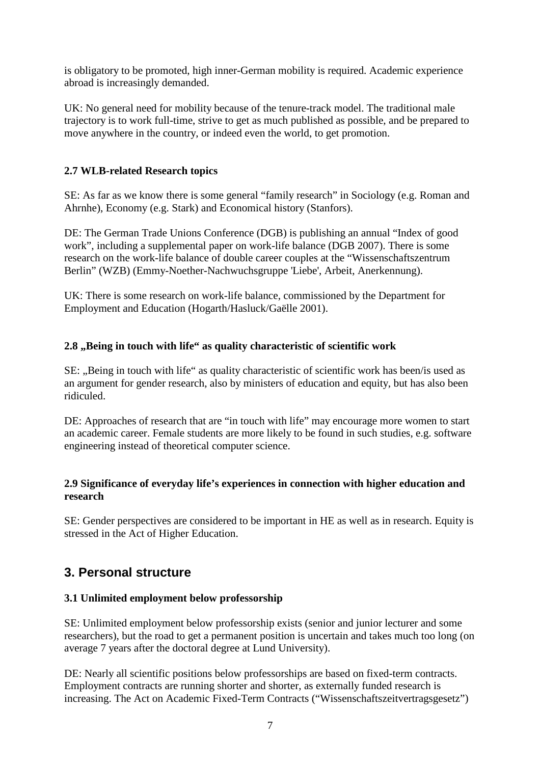is obligatory to be promoted, high inner-German mobility is required. Academic experience abroad is increasingly demanded.

UK: No general need for mobility because of the tenure-track model. The traditional male trajectory is to work full-time, strive to get as much published as possible, and be prepared to move anywhere in the country, or indeed even the world, to get promotion.

#### **2.7 WLB-related Research topics**

SE: As far as we know there is some general "family research" in Sociology (e.g. Roman and Ahrnhe), Economy (e.g. Stark) and Economical history (Stanfors).

DE: The German Trade Unions Conference (DGB) is publishing an annual "Index of good work", including a supplemental paper on work-life balance (DGB 2007). There is some research on the work-life balance of double career couples at the "Wissenschaftszentrum Berlin" (WZB) (Emmy-Noether-Nachwuchsgruppe 'Liebe', Arbeit, Anerkennung).

UK: There is some research on work-life balance, commissioned by the Department for Employment and Education (Hogarth/Hasluck/Gaëlle 2001).

#### **2.8 "Being in touch with life" as quality characteristic of scientific work**

SE: "Being in touch with life" as quality characteristic of scientific work has been/is used as an argument for gender research, also by ministers of education and equity, but has also been ridiculed.

DE: Approaches of research that are "in touch with life" may encourage more women to start an academic career. Female students are more likely to be found in such studies, e.g. software engineering instead of theoretical computer science.

#### **2.9 Significance of everyday life's experiences in connection with higher education and research**

SE: Gender perspectives are considered to be important in HE as well as in research. Equity is stressed in the Act of Higher Education.

### **3. Personal structure**

#### **3.1 Unlimited employment below professorship**

SE: Unlimited employment below professorship exists (senior and junior lecturer and some researchers), but the road to get a permanent position is uncertain and takes much too long (on average 7 years after the doctoral degree at Lund University).

DE: Nearly all scientific positions below professorships are based on fixed-term contracts. Employment contracts are running shorter and shorter, as externally funded research is increasing. The Act on Academic Fixed-Term Contracts ("Wissenschaftszeitvertragsgesetz")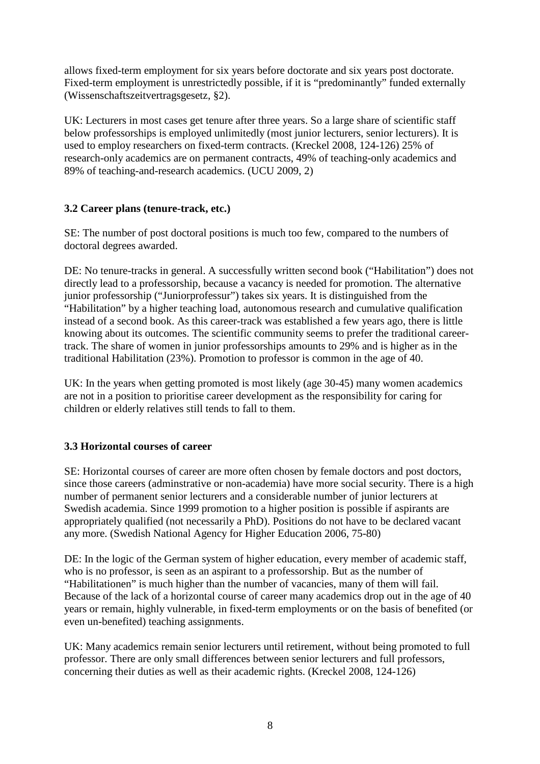allows fixed-term employment for six years before doctorate and six years post doctorate. Fixed-term employment is unrestrictedly possible, if it is "predominantly" funded externally (Wissenschaftszeitvertragsgesetz, §2).

UK: Lecturers in most cases get tenure after three years. So a large share of scientific staff below professorships is employed unlimitedly (most junior lecturers, senior lecturers). It is used to employ researchers on fixed-term contracts. (Kreckel 2008, 124-126) 25% of research-only academics are on permanent contracts, 49% of teaching-only academics and 89% of teaching-and-research academics. (UCU 2009, 2)

#### **3.2 Career plans (tenure-track, etc.)**

SE: The number of post doctoral positions is much too few, compared to the numbers of doctoral degrees awarded.

DE: No tenure-tracks in general. A successfully written second book ("Habilitation") does not directly lead to a professorship, because a vacancy is needed for promotion. The alternative junior professorship ("Juniorprofessur") takes six years. It is distinguished from the "Habilitation" by a higher teaching load, autonomous research and cumulative qualification instead of a second book. As this career-track was established a few years ago, there is little knowing about its outcomes. The scientific community seems to prefer the traditional careertrack. The share of women in junior professorships amounts to 29% and is higher as in the traditional Habilitation (23%). Promotion to professor is common in the age of 40.

UK: In the years when getting promoted is most likely (age 30-45) many women academics are not in a position to prioritise career development as the responsibility for caring for children or elderly relatives still tends to fall to them.

#### **3.3 Horizontal courses of career**

SE: Horizontal courses of career are more often chosen by female doctors and post doctors, since those careers (adminstrative or non-academia) have more social security. There is a high number of permanent senior lecturers and a considerable number of junior lecturers at Swedish academia. Since 1999 promotion to a higher position is possible if aspirants are appropriately qualified (not necessarily a PhD). Positions do not have to be declared vacant any more. (Swedish National Agency for Higher Education 2006, 75-80)

DE: In the logic of the German system of higher education, every member of academic staff, who is no professor, is seen as an aspirant to a professorship. But as the number of "Habilitationen" is much higher than the number of vacancies, many of them will fail. Because of the lack of a horizontal course of career many academics drop out in the age of 40 years or remain, highly vulnerable, in fixed-term employments or on the basis of benefited (or even un-benefited) teaching assignments.

UK: Many academics remain senior lecturers until retirement, without being promoted to full professor. There are only small differences between senior lecturers and full professors, concerning their duties as well as their academic rights. (Kreckel 2008, 124-126)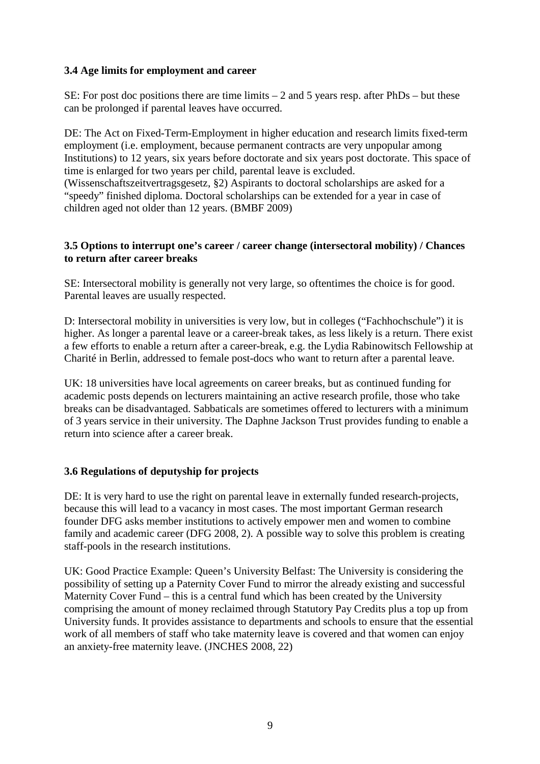#### **3.4 Age limits for employment and career**

SE: For post doc positions there are time limits  $-2$  and 5 years resp. after PhDs – but these can be prolonged if parental leaves have occurred.

DE: The Act on Fixed-Term-Employment in higher education and research limits fixed-term employment (i.e. employment, because permanent contracts are very unpopular among Institutions) to 12 years, six years before doctorate and six years post doctorate. This space of time is enlarged for two years per child, parental leave is excluded.

(Wissenschaftszeitvertragsgesetz, §2) Aspirants to doctoral scholarships are asked for a "speedy" finished diploma. Doctoral scholarships can be extended for a year in case of children aged not older than 12 years. (BMBF 2009)

#### **3.5 Options to interrupt one's career / career change (intersectoral mobility) / Chances to return after career breaks**

SE: Intersectoral mobility is generally not very large, so oftentimes the choice is for good. Parental leaves are usually respected.

D: Intersectoral mobility in universities is very low, but in colleges ("Fachhochschule") it is higher. As longer a parental leave or a career-break takes, as less likely is a return. There exist a few efforts to enable a return after a career-break, e.g. the Lydia Rabinowitsch Fellowship at Charité in Berlin, addressed to female post-docs who want to return after a parental leave.

UK: 18 universities have local agreements on career breaks, but as continued funding for academic posts depends on lecturers maintaining an active research profile, those who take breaks can be disadvantaged. Sabbaticals are sometimes offered to lecturers with a minimum of 3 years service in their university. The Daphne Jackson Trust provides funding to enable a return into science after a career break.

#### **3.6 Regulations of deputyship for projects**

DE: It is very hard to use the right on parental leave in externally funded research-projects, because this will lead to a vacancy in most cases. The most important German research founder DFG asks member institutions to actively empower men and women to combine family and academic career (DFG 2008, 2). A possible way to solve this problem is creating staff-pools in the research institutions.

UK: Good Practice Example: Queen's University Belfast: The University is considering the possibility of setting up a Paternity Cover Fund to mirror the already existing and successful Maternity Cover Fund – this is a central fund which has been created by the University comprising the amount of money reclaimed through Statutory Pay Credits plus a top up from University funds. It provides assistance to departments and schools to ensure that the essential work of all members of staff who take maternity leave is covered and that women can enjoy an anxiety-free maternity leave. (JNCHES 2008, 22)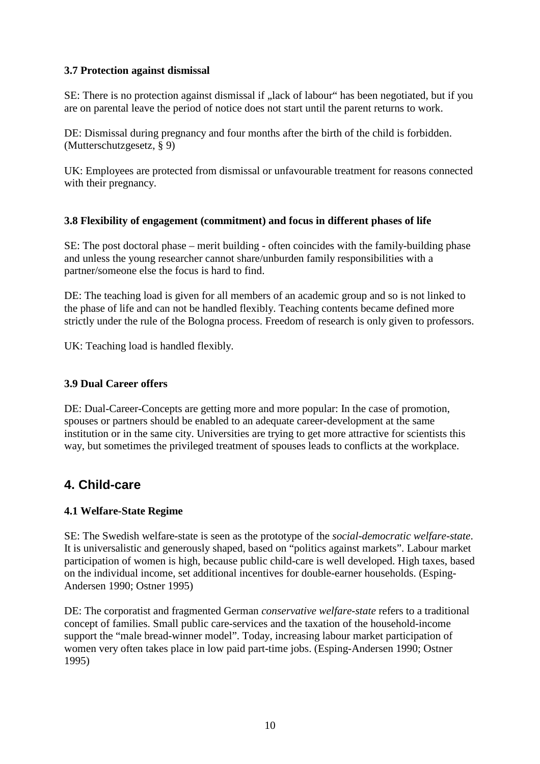#### **3.7 Protection against dismissal**

SE: There is no protection against dismissal if , lack of labour" has been negotiated, but if you are on parental leave the period of notice does not start until the parent returns to work.

DE: Dismissal during pregnancy and four months after the birth of the child is forbidden. (Mutterschutzgesetz, § 9)

UK: Employees are protected from dismissal or unfavourable treatment for reasons connected with their pregnancy.

#### **3.8 Flexibility of engagement (commitment) and focus in different phases of life**

SE: The post doctoral phase – merit building - often coincides with the family-building phase and unless the young researcher cannot share/unburden family responsibilities with a partner/someone else the focus is hard to find.

DE: The teaching load is given for all members of an academic group and so is not linked to the phase of life and can not be handled flexibly. Teaching contents became defined more strictly under the rule of the Bologna process. Freedom of research is only given to professors.

UK: Teaching load is handled flexibly.

#### **3.9 Dual Career offers**

DE: Dual-Career-Concepts are getting more and more popular: In the case of promotion, spouses or partners should be enabled to an adequate career-development at the same institution or in the same city. Universities are trying to get more attractive for scientists this way, but sometimes the privileged treatment of spouses leads to conflicts at the workplace.

### **4. Child-care**

#### **4.1 Welfare-State Regime**

SE: The Swedish welfare-state is seen as the prototype of the *social-democratic welfare-state*. It is universalistic and generously shaped, based on "politics against markets". Labour market participation of women is high, because public child-care is well developed. High taxes, based on the individual income, set additional incentives for double-earner households. (Esping-Andersen 1990; Ostner 1995)

DE: The corporatist and fragmented German *conservative welfare-state* refers to a traditional concept of families. Small public care-services and the taxation of the household-income support the "male bread-winner model". Today, increasing labour market participation of women very often takes place in low paid part-time jobs. (Esping-Andersen 1990; Ostner 1995)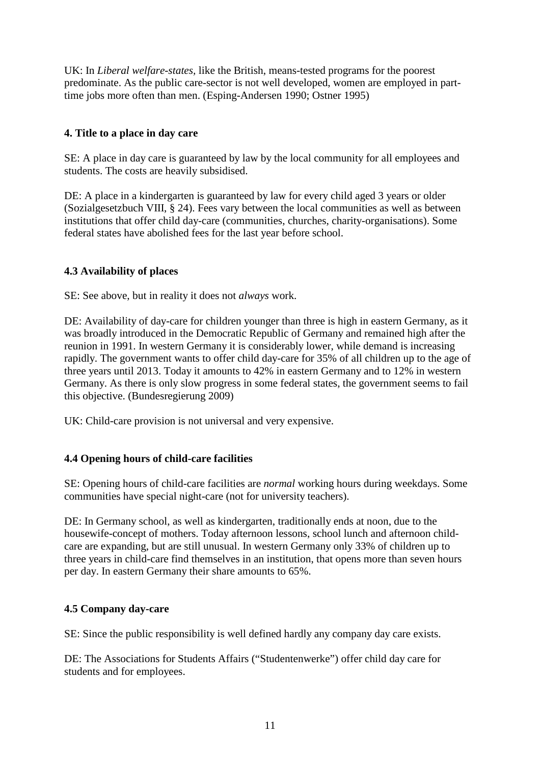UK: In *Liberal welfare-states,* like the British, means-tested programs for the poorest predominate. As the public care-sector is not well developed, women are employed in parttime jobs more often than men. (Esping-Andersen 1990; Ostner 1995)

#### **4. Title to a place in day care**

SE: A place in day care is guaranteed by law by the local community for all employees and students. The costs are heavily subsidised.

DE: A place in a kindergarten is guaranteed by law for every child aged 3 years or older (Sozialgesetzbuch VIII, § 24). Fees vary between the local communities as well as between institutions that offer child day-care (communities, churches, charity-organisations). Some federal states have abolished fees for the last year before school.

#### **4.3 Availability of places**

SE: See above, but in reality it does not *always* work.

DE: Availability of day-care for children younger than three is high in eastern Germany, as it was broadly introduced in the Democratic Republic of Germany and remained high after the reunion in 1991. In western Germany it is considerably lower, while demand is increasing rapidly. The government wants to offer child day-care for 35% of all children up to the age of three years until 2013. Today it amounts to 42% in eastern Germany and to 12% in western Germany. As there is only slow progress in some federal states, the government seems to fail this objective. (Bundesregierung 2009)

UK: Child-care provision is not universal and very expensive.

#### **4.4 Opening hours of child-care facilities**

SE: Opening hours of child-care facilities are *normal* working hours during weekdays. Some communities have special night-care (not for university teachers).

DE: In Germany school, as well as kindergarten, traditionally ends at noon, due to the housewife-concept of mothers. Today afternoon lessons, school lunch and afternoon childcare are expanding, but are still unusual. In western Germany only 33% of children up to three years in child-care find themselves in an institution, that opens more than seven hours per day. In eastern Germany their share amounts to 65%.

#### **4.5 Company day-care**

SE: Since the public responsibility is well defined hardly any company day care exists.

DE: The Associations for Students Affairs ("Studentenwerke") offer child day care for students and for employees.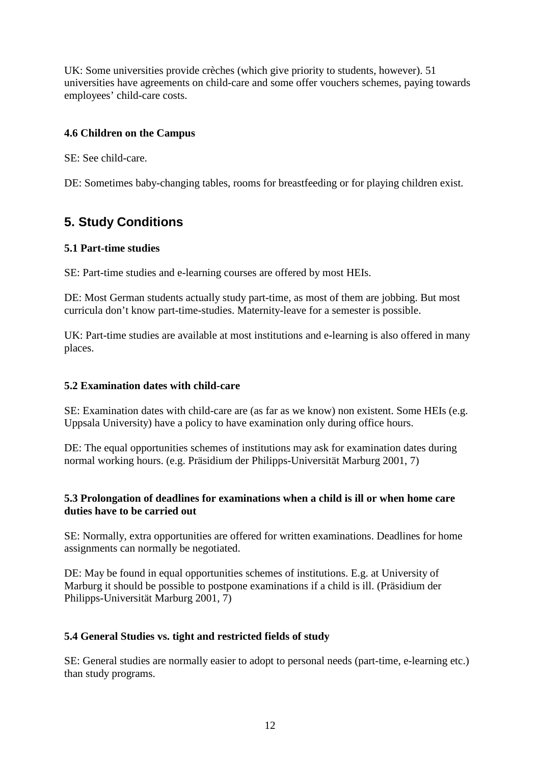UK: Some universities provide crèches (which give priority to students, however). 51 universities have agreements on child-care and some offer vouchers schemes, paying towards employees' child-care costs.

#### **4.6 Children on the Campus**

SE: See child-care.

DE: Sometimes baby-changing tables, rooms for breastfeeding or for playing children exist.

# **5. Study Conditions**

#### **5.1 Part-time studies**

SE: Part-time studies and e-learning courses are offered by most HEIs.

DE: Most German students actually study part-time, as most of them are jobbing. But most curricula don't know part-time-studies. Maternity-leave for a semester is possible.

UK: Part-time studies are available at most institutions and e-learning is also offered in many places.

#### **5.2 Examination dates with child-care**

SE: Examination dates with child-care are (as far as we know) non existent. Some HEIs (e.g. Uppsala University) have a policy to have examination only during office hours.

DE: The equal opportunities schemes of institutions may ask for examination dates during normal working hours. (e.g. Präsidium der Philipps-Universität Marburg 2001, 7)

#### **5.3 Prolongation of deadlines for examinations when a child is ill or when home care duties have to be carried out**

SE: Normally, extra opportunities are offered for written examinations. Deadlines for home assignments can normally be negotiated.

DE: May be found in equal opportunities schemes of institutions. E.g. at University of Marburg it should be possible to postpone examinations if a child is ill. (Präsidium der Philipps-Universität Marburg 2001, 7)

#### **5.4 General Studies vs. tight and restricted fields of study**

SE: General studies are normally easier to adopt to personal needs (part-time, e-learning etc.) than study programs.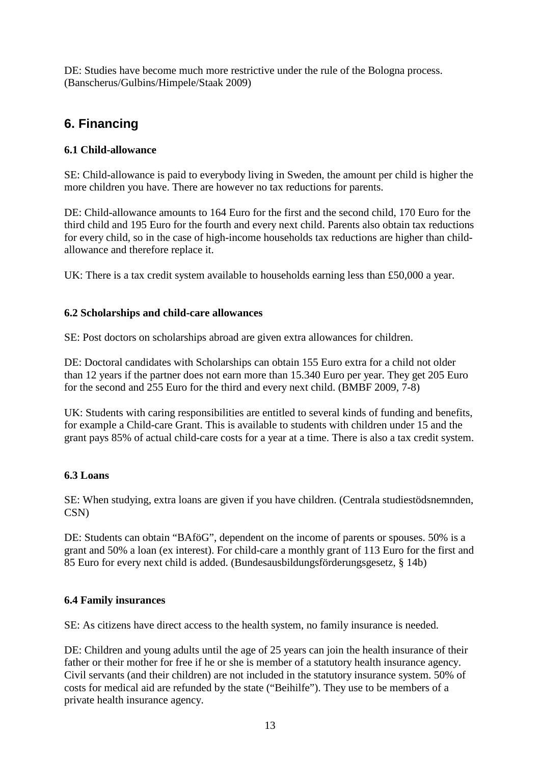DE: Studies have become much more restrictive under the rule of the Bologna process. (Banscherus/Gulbins/Himpele/Staak 2009)

# **6. Financing**

#### **6.1 Child-allowance**

SE: Child-allowance is paid to everybody living in Sweden, the amount per child is higher the more children you have. There are however no tax reductions for parents.

DE: Child-allowance amounts to 164 Euro for the first and the second child, 170 Euro for the third child and 195 Euro for the fourth and every next child. Parents also obtain tax reductions for every child, so in the case of high-income households tax reductions are higher than childallowance and therefore replace it.

UK: There is a tax credit system available to households earning less than £50,000 a year.

#### **6.2 Scholarships and child-care allowances**

SE: Post doctors on scholarships abroad are given extra allowances for children.

DE: Doctoral candidates with Scholarships can obtain 155 Euro extra for a child not older than 12 years if the partner does not earn more than 15.340 Euro per year. They get 205 Euro for the second and 255 Euro for the third and every next child. (BMBF 2009, 7-8)

UK: Students with caring responsibilities are entitled to several kinds of funding and benefits, for example a Child-care Grant. This is available to students with children under 15 and the grant pays 85% of actual child-care costs for a year at a time. There is also a tax credit system.

#### **6.3 Loans**

SE: When studying, extra loans are given if you have children. (Centrala studiestödsnemnden, CSN)

DE: Students can obtain "BAföG", dependent on the income of parents or spouses. 50% is a grant and 50% a loan (ex interest). For child-care a monthly grant of 113 Euro for the first and 85 Euro for every next child is added. (Bundesausbildungsförderungsgesetz, § 14b)

#### **6.4 Family insurances**

SE: As citizens have direct access to the health system, no family insurance is needed.

DE: Children and young adults until the age of 25 years can join the health insurance of their father or their mother for free if he or she is member of a statutory health insurance agency. Civil servants (and their children) are not included in the statutory insurance system. 50% of costs for medical aid are refunded by the state ("Beihilfe"). They use to be members of a private health insurance agency.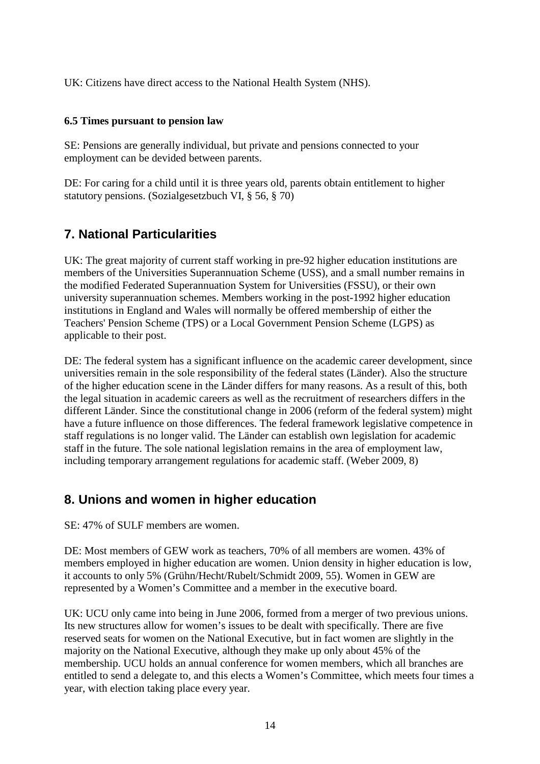UK: Citizens have direct access to the National Health System (NHS).

#### **6.5 Times pursuant to pension law**

SE: Pensions are generally individual, but private and pensions connected to your employment can be devided between parents.

DE: For caring for a child until it is three years old, parents obtain entitlement to higher statutory pensions. (Sozialgesetzbuch VI, § 56, § 70)

## **7. National Particularities**

UK: The great majority of current staff working in pre-92 higher education institutions are members of the Universities Superannuation Scheme (USS), and a small number remains in the modified Federated Superannuation System for Universities (FSSU), or their own university superannuation schemes. Members working in the post-1992 higher education institutions in England and Wales will normally be offered membership of either the Teachers' Pension Scheme (TPS) or a Local Government Pension Scheme (LGPS) as applicable to their post.

DE: The federal system has a significant influence on the academic career development, since universities remain in the sole responsibility of the federal states (Länder). Also the structure of the higher education scene in the Länder differs for many reasons. As a result of this, both the legal situation in academic careers as well as the recruitment of researchers differs in the different Länder. Since the constitutional change in 2006 (reform of the federal system) might have a future influence on those differences. The federal framework legislative competence in staff regulations is no longer valid. The Länder can establish own legislation for academic staff in the future. The sole national legislation remains in the area of employment law, including temporary arrangement regulations for academic staff. (Weber 2009, 8)

## **8. Unions and women in higher education**

SE: 47% of SULF members are women.

DE: Most members of GEW work as teachers, 70% of all members are women. 43% of members employed in higher education are women. Union density in higher education is low, it accounts to only 5% (Grühn/Hecht/Rubelt/Schmidt 2009, 55). Women in GEW are represented by a Women's Committee and a member in the executive board.

UK: UCU only came into being in June 2006, formed from a merger of two previous unions. Its new structures allow for women's issues to be dealt with specifically. There are five reserved seats for women on the National Executive, but in fact women are slightly in the majority on the National Executive, although they make up only about 45% of the membership. UCU holds an annual conference for women members, which all branches are entitled to send a delegate to, and this elects a Women's Committee, which meets four times a year, with election taking place every year.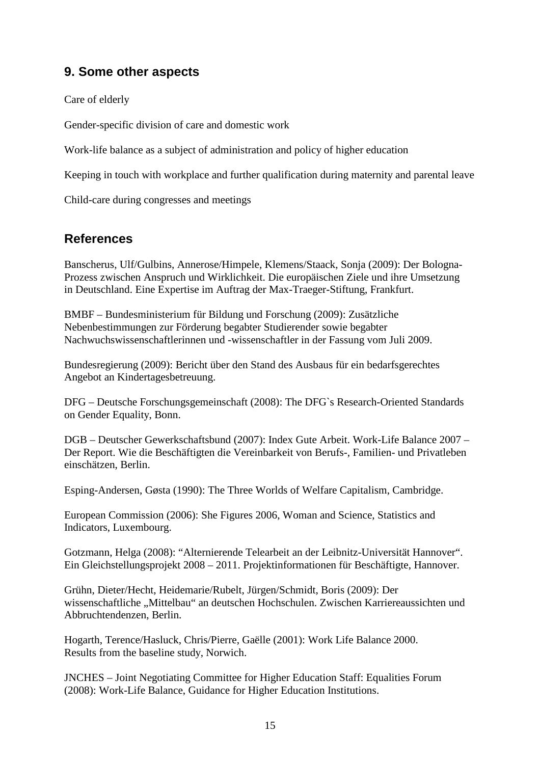## **9. Some other aspects**

Care of elderly

Gender-specific division of care and domestic work

Work-life balance as a subject of administration and policy of higher education

Keeping in touch with workplace and further qualification during maternity and parental leave

Child-care during congresses and meetings

## **References**

Banscherus, Ulf/Gulbins, Annerose/Himpele, Klemens/Staack, Sonja (2009): Der Bologna-Prozess zwischen Anspruch und Wirklichkeit. Die europäischen Ziele und ihre Umsetzung in Deutschland. Eine Expertise im Auftrag der Max-Traeger-Stiftung, Frankfurt.

BMBF – Bundesministerium für Bildung und Forschung (2009): Zusätzliche Nebenbestimmungen zur Förderung begabter Studierender sowie begabter Nachwuchswissenschaftlerinnen und -wissenschaftler in der Fassung vom Juli 2009.

Bundesregierung (2009): Bericht über den Stand des Ausbaus für ein bedarfsgerechtes Angebot an Kindertagesbetreuung.

DFG – Deutsche Forschungsgemeinschaft (2008): The DFG`s Research-Oriented Standards on Gender Equality, Bonn.

DGB – Deutscher Gewerkschaftsbund (2007): Index Gute Arbeit. Work-Life Balance 2007 – Der Report. Wie die Beschäftigten die Vereinbarkeit von Berufs-, Familien- und Privatleben einschätzen, Berlin.

Esping-Andersen, Gøsta (1990): The Three Worlds of Welfare Capitalism, Cambridge.

European Commission (2006): She Figures 2006, Woman and Science, Statistics and Indicators, Luxembourg.

Gotzmann, Helga (2008): "Alternierende Telearbeit an der Leibnitz-Universität Hannover". Ein Gleichstellungsprojekt 2008 – 2011. Projektinformationen für Beschäftigte, Hannover.

Grühn, Dieter/Hecht, Heidemarie/Rubelt, Jürgen/Schmidt, Boris (2009): Der wissenschaftliche "Mittelbau" an deutschen Hochschulen. Zwischen Karriereaussichten und Abbruchtendenzen, Berlin.

Hogarth, Terence/Hasluck, Chris/Pierre, Gaëlle (2001): Work Life Balance 2000. Results from the baseline study, Norwich.

JNCHES – Joint Negotiating Committee for Higher Education Staff: Equalities Forum (2008): Work-Life Balance, Guidance for Higher Education Institutions.